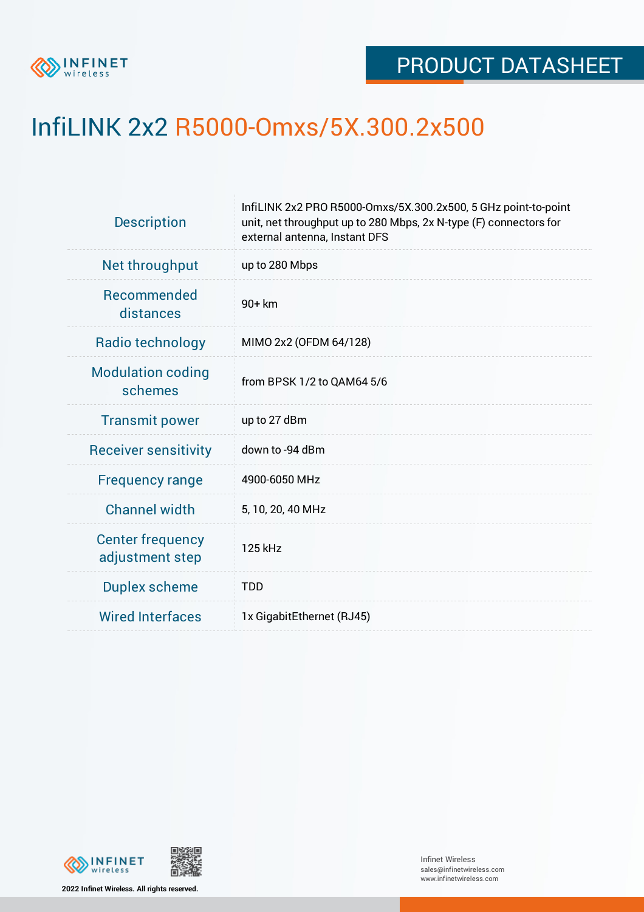

## InfiLINK 2x2 R5000-Omxs/5X.300.2x500

| <b>Description</b>                         | InfiLINK 2x2 PRO R5000-Omxs/5X.300.2x500, 5 GHz point-to-point<br>unit, net throughput up to 280 Mbps, 2x N-type (F) connectors for<br>external antenna, Instant DFS |  |  |  |
|--------------------------------------------|----------------------------------------------------------------------------------------------------------------------------------------------------------------------|--|--|--|
| Net throughput                             | up to 280 Mbps                                                                                                                                                       |  |  |  |
| <b>Recommended</b><br>distances            | 90+ km                                                                                                                                                               |  |  |  |
| Radio technology                           | MIMO 2x2 (OFDM 64/128)                                                                                                                                               |  |  |  |
| <b>Modulation coding</b><br>schemes        | from BPSK 1/2 to QAM64 5/6                                                                                                                                           |  |  |  |
| <b>Transmit power</b>                      | up to 27 dBm                                                                                                                                                         |  |  |  |
| <b>Receiver sensitivity</b>                | down to -94 dBm                                                                                                                                                      |  |  |  |
| <b>Frequency range</b>                     | 4900-6050 MHz                                                                                                                                                        |  |  |  |
| <b>Channel width</b>                       | 5, 10, 20, 40 MHz                                                                                                                                                    |  |  |  |
| <b>Center frequency</b><br>adjustment step | 125 kHz                                                                                                                                                              |  |  |  |
| <b>Duplex scheme</b>                       | <b>TDD</b>                                                                                                                                                           |  |  |  |
| <b>Wired Interfaces</b>                    | 1x GigabitEthernet (RJ45)                                                                                                                                            |  |  |  |
|                                            |                                                                                                                                                                      |  |  |  |



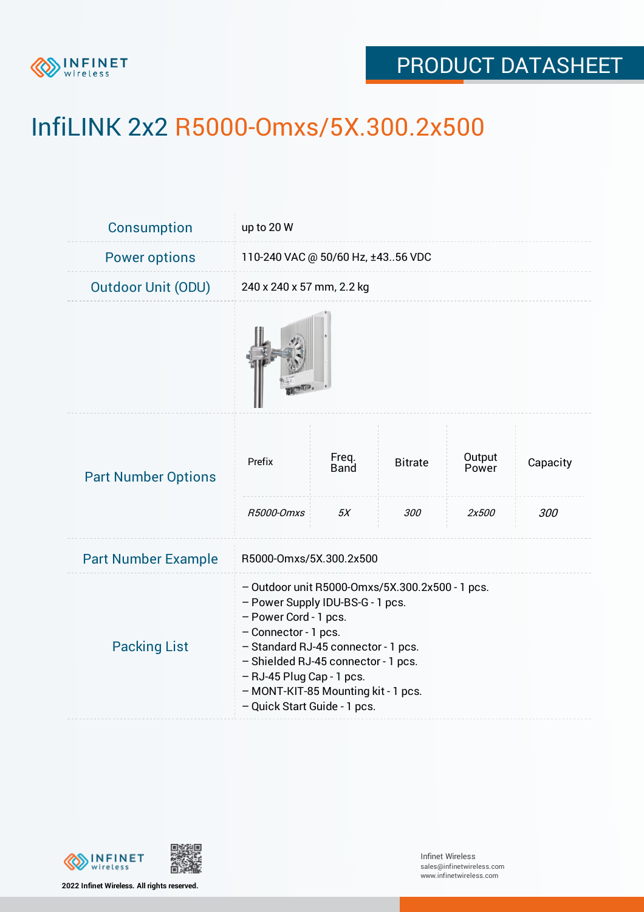

## PRODUCT DATASHEET

# InfiLINK 2x2 R5000-Omxs/5X.300.2x500

| Consumption                | up to 20 W                                                                                                                                                                                                                                                                                                               |                     |                       |                          |                 |  |
|----------------------------|--------------------------------------------------------------------------------------------------------------------------------------------------------------------------------------------------------------------------------------------------------------------------------------------------------------------------|---------------------|-----------------------|--------------------------|-----------------|--|
| <b>Power options</b>       | 110-240 VAC @ 50/60 Hz, ±4356 VDC                                                                                                                                                                                                                                                                                        |                     |                       |                          |                 |  |
| <b>Outdoor Unit (ODU)</b>  | 240 x 240 x 57 mm, 2.2 kg                                                                                                                                                                                                                                                                                                |                     |                       |                          |                 |  |
|                            |                                                                                                                                                                                                                                                                                                                          |                     |                       |                          |                 |  |
| <b>Part Number Options</b> | Prefix<br>R5000-Omxs                                                                                                                                                                                                                                                                                                     | Freq.<br>Band<br>5X | <b>Bitrate</b><br>300 | Output<br>Power<br>2x500 | Capacity<br>300 |  |
| <b>Part Number Example</b> | R5000-Omxs/5X.300.2x500                                                                                                                                                                                                                                                                                                  |                     |                       |                          |                 |  |
| <b>Packing List</b>        | - Outdoor unit R5000-Omxs/5X.300.2x500 - 1 pcs.<br>- Power Supply IDU-BS-G - 1 pcs.<br>- Power Cord - 1 pcs.<br>- Connector - 1 pcs.<br>- Standard RJ-45 connector - 1 pcs.<br>- Shielded RJ-45 connector - 1 pcs.<br>$-$ RJ-45 Plug Cap - 1 pcs.<br>- MONT-KIT-85 Mounting kit - 1 pcs.<br>- Quick Start Guide - 1 pcs. |                     |                       |                          |                 |  |



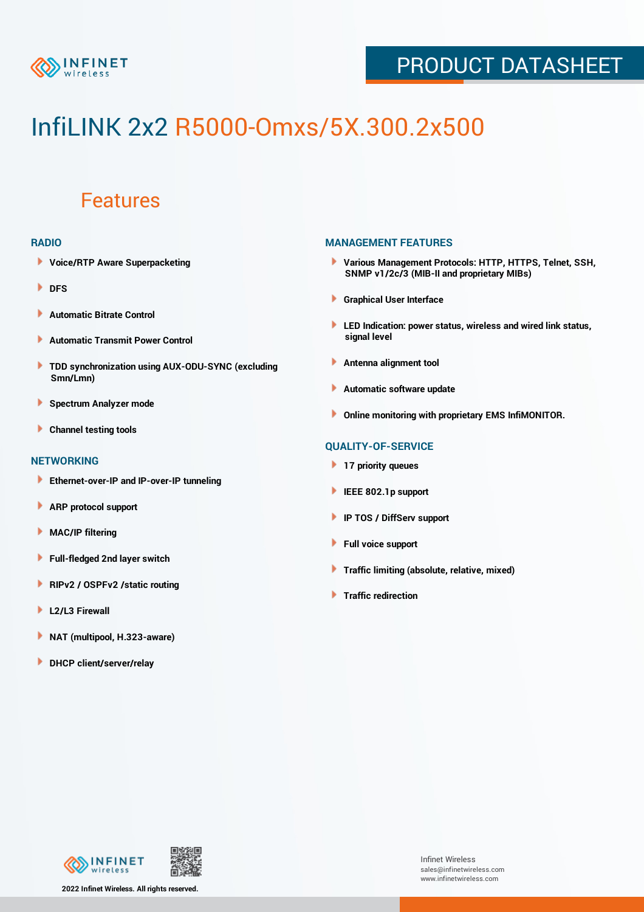

## PRODUCT DATASHEET

# InfiLINK 2x2 R5000-Omxs/5X.300.2x500

### Features

#### **RADIO**

- **Voice/RTP Aware Superpacketing**
- **DFS**
- **Automatic Bitrate Control** Þ
- Þ **Automatic Transmit Power Control**
- ь **TDD synchronization using AUX-ODU-SYNC (excluding Smn/Lmn)**
- **Spectrum Analyzer mode** ۰
- **Channel testing tools** ١

#### **NETWORKING**

- **Ethernet-over-IP and IP-over-IP tunneling**
- **ARP protocol support** ٠
- ۱ **MAC/IP filtering**
- Þ **Full-fledged 2nd layer switch**
- Þ **RIPv2 / OSPFv2 /static routing**
- **L2/L3 Firewall** Þ
- **NAT (multipool, H.323-aware)** Þ
- Þ **DHCP client/server/relay**

#### **MANAGEMENT FEATURES**

- **Various Management Protocols: HTTP, HTTPS, Telnet, SSH, SNMP v1/2c/3 (MIB-II and proprietary MIBs)**
- **Graphical User Interface**
- **LED Indication: power status, wireless and wired link status, signal level**
- **Antenna alignment tool**
- ٠ **Automatic software update**
- **Online monitoring with proprietary EMS InfiMONITOR.**

#### **QUALITY-OF-SERVICE**

- **17 priority queues**
- **IEEE 802.1p support**
- **IP TOS / DiffServ support**
- ٠ **Full voice support**
- **Traffic limiting (absolute, relative, mixed)** ٠
- **Traffic redirection**